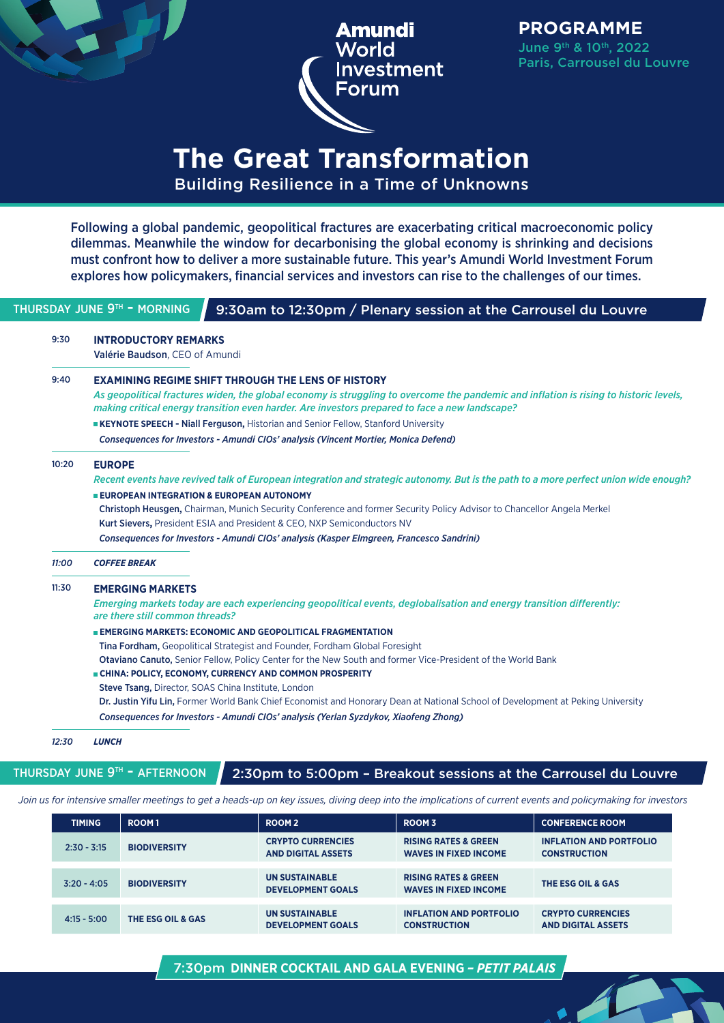

**PROGRAMME** June 9th & 10th, 2022 Paris, Carrousel du Louvre

## **The Great Transformation** Building Resilience in a Time of Unknowns

Following a global pandemic, geopolitical fractures are exacerbating critical macroeconomic policy dilemmas. Meanwhile the window for decarbonising the global economy is shrinking and decisions must confront how to deliver a more sustainable future. This year's Amundi World Investment Forum explores how policymakers, financial services and investors can rise to the challenges of our times.

| 9:30  | <b>INTRODUCTORY REMARKS</b>                                                                                                                                                                                                              |
|-------|------------------------------------------------------------------------------------------------------------------------------------------------------------------------------------------------------------------------------------------|
|       | Valérie Baudson, CEO of Amundi                                                                                                                                                                                                           |
| 9:40  | <b>EXAMINING REGIME SHIFT THROUGH THE LENS OF HISTORY</b>                                                                                                                                                                                |
|       | As geopolitical fractures widen, the global economy is struggling to overcome the pandemic and inflation is rising to historic levels,<br>making critical energy transition even harder. Are investors prepared to face a new landscape? |
|       | <b>EXEYNOTE SPEECH - Niall Ferguson, Historian and Senior Fellow, Stanford University</b>                                                                                                                                                |
|       | Consequences for Investors - Amundi CIOs' analysis (Vincent Mortier, Monica Defend)                                                                                                                                                      |
| 10:20 | <b>EUROPE</b>                                                                                                                                                                                                                            |
|       | Recent events have revived talk of European integration and strategic autonomy. But is the path to a more perfect union wide enough?                                                                                                     |
|       | <b>EUROPEAN INTEGRATION &amp; EUROPEAN AUTONOMY</b>                                                                                                                                                                                      |
|       | Christoph Heusgen, Chairman, Munich Security Conference and former Security Policy Advisor to Chancellor Angela Merkel                                                                                                                   |
|       | Kurt Sievers, President ESIA and President & CEO, NXP Semiconductors NV                                                                                                                                                                  |
|       | Consequences for Investors - Amundi CIOs' analysis (Kasper Elmgreen, Francesco Sandrini)                                                                                                                                                 |
| 11:00 | <b>COFFEE BREAK</b>                                                                                                                                                                                                                      |
| 11:30 | <b>EMERGING MARKETS</b>                                                                                                                                                                                                                  |
|       | Emerging markets today are each experiencing geopolitical events, deglobalisation and energy transition differently:<br>are there still common threads?                                                                                  |
|       | <b>EMERGING MARKETS: ECONOMIC AND GEOPOLITICAL FRAGMENTATION</b>                                                                                                                                                                         |
|       | Tina Fordham, Geopolitical Strategist and Founder, Fordham Global Foresight                                                                                                                                                              |
|       | Otaviano Canuto, Senior Fellow, Policy Center for the New South and former Vice-President of the World Bank                                                                                                                              |
|       | <b>E CHINA: POLICY, ECONOMY, CURRENCY AND COMMON PROSPERITY</b>                                                                                                                                                                          |
|       | Steve Tsang, Director, SOAS China Institute, London                                                                                                                                                                                      |
|       | Dr. Justin Yifu Lin, Former World Bank Chief Economist and Honorary Dean at National School of Development at Peking University                                                                                                          |
|       | Consequences for Investors - Amundi CIOs' analysis (Yerlan Syzdykov, Xiaofeng Zhong)                                                                                                                                                     |

THURSDAY JUNE  $9^{th}$  - AFTERNOON 2:30pm to 5:00pm - Breakout sessions at the Carrousel du Louvre

*Join us for intensive smaller meetings to get a heads-up on key issues, diving deep into the implications of current events and policymaking for investors*

| <b>TIMING</b> | ROOM <sub>1</sub>   | ROOM <sub>2</sub>                                     | ROOM 3                                                          | <b>CONFERENCE ROOM</b>                                |
|---------------|---------------------|-------------------------------------------------------|-----------------------------------------------------------------|-------------------------------------------------------|
| $2:30 - 3:15$ | <b>BIODIVERSITY</b> | <b>CRYPTO CURRENCIES</b><br><b>AND DIGITAL ASSETS</b> | <b>RISING RATES &amp; GREEN</b><br><b>WAVES IN FIXED INCOME</b> | <b>INFLATION AND PORTFOLIO</b><br><b>CONSTRUCTION</b> |
| $3:20 - 4:05$ | <b>BIODIVERSITY</b> | <b>UN SUSTAINABLE</b><br><b>DEVELOPMENT GOALS</b>     | <b>RISING RATES &amp; GREEN</b><br><b>WAVES IN FIXED INCOME</b> | THE ESG OIL & GAS                                     |
| $4:15 - 5:00$ | THE ESG OIL & GAS   | <b>UN SUSTAINABLE</b><br><b>DEVELOPMENT GOALS</b>     | <b>INFLATION AND PORTFOLIO</b><br><b>CONSTRUCTION</b>           | <b>CRYPTO CURRENCIES</b><br><b>AND DIGITAL ASSETS</b> |

#### 7:30pm **DINNER COCKTAIL AND GALA EVENING** *– PETIT PALAIS*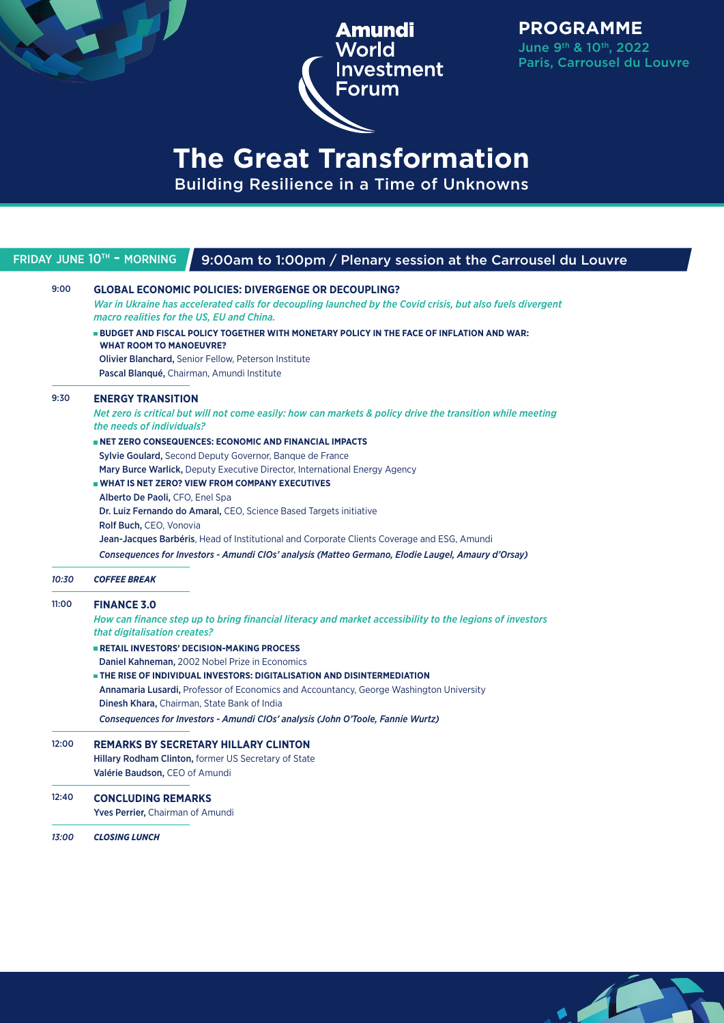

**PROGRAMME** June 9th & 10th, 2022 Paris, Carrousel du Louvre

 $\sqrt{2}$ 

## **The Great Transformation** Building Resilience in a Time of Unknowns

#### FRIDAY JUNE 10<sup>th</sup> - MORNING 9:00am to 1:00pm / Plenary session at the Carrousel du Louvre 9:00 **GLOBAL ECONOMIC POLICIES: DIVERGENGE OR DECOUPLING?**  *War in Ukraine has accelerated calls for decoupling launched by the Covid crisis, but also fuels divergent macro realities for the US, EU and China.* **BUDGET AND FISCAL POLICY TOGETHER WITH MONETARY POLICY IN THE FACE OF INFLATION AND WAR: WHAT ROOM TO MANOEUVRE?** Olivier Blanchard, Senior Fellow, Peterson Institute Pascal Blanqué, Chairman, Amundi Institute 9:30 **ENERGY TRANSITION** *Net zero is critical but will not come easily: how can markets & policy drive the transition while meeting the needs of individuals?*  **NET ZERO CONSEQUENCES: ECONOMIC AND FINANCIAL IMPACTS** Sylvie Goulard, Second Deputy Governor, Banque de France Mary Burce Warlick, Deputy Executive Director, International Energy Agency **WHAT IS NET ZERO? VIEW FROM COMPANY EXECUTIVES** Alberto De Paoli, CFO, Enel Spa Dr. Luiz Fernando do Amaral, CEO, Science Based Targets initiative Rolf Buch, CEO, Vonovia Jean-Jacques Barbéris, Head of Institutional and Corporate Clients Coverage and ESG, Amundi *Consequences for Investors - Amundi CIOs' analysis (Matteo Germano, Elodie Laugel, Amaury d'Orsay) 10:30 COFFEE BREAK* 11:00 **FINANCE 3.0** *How can finance step up to bring financial literacy and market accessibility to the legions of investors that digitalisation creates?*  **RETAIL INVESTORS' DECISION-MAKING PROCESS** Daniel Kahneman, 2002 Nobel Prize in Economics  **THE RISE OF INDIVIDUAL INVESTORS: DIGITALISATION AND DISINTERMEDIATION** Annamaria Lusardi, Professor of Economics and Accountancy, George Washington University Dinesh Khara, Chairman, State Bank of India *Consequences for Investors - Amundi CIOs' analysis (John O'Toole, Fannie Wurtz)* 12:00 **REMARKS BY SECRETARY HILLARY CLINTON** Hillary Rodham Clinton, former US Secretary of State Valérie Baudson, CEO of Amundi 12:40 **CONCLUDING REMARKS**  Yves Perrier, Chairman of Amundi *13:00 CLOSING LUNCH*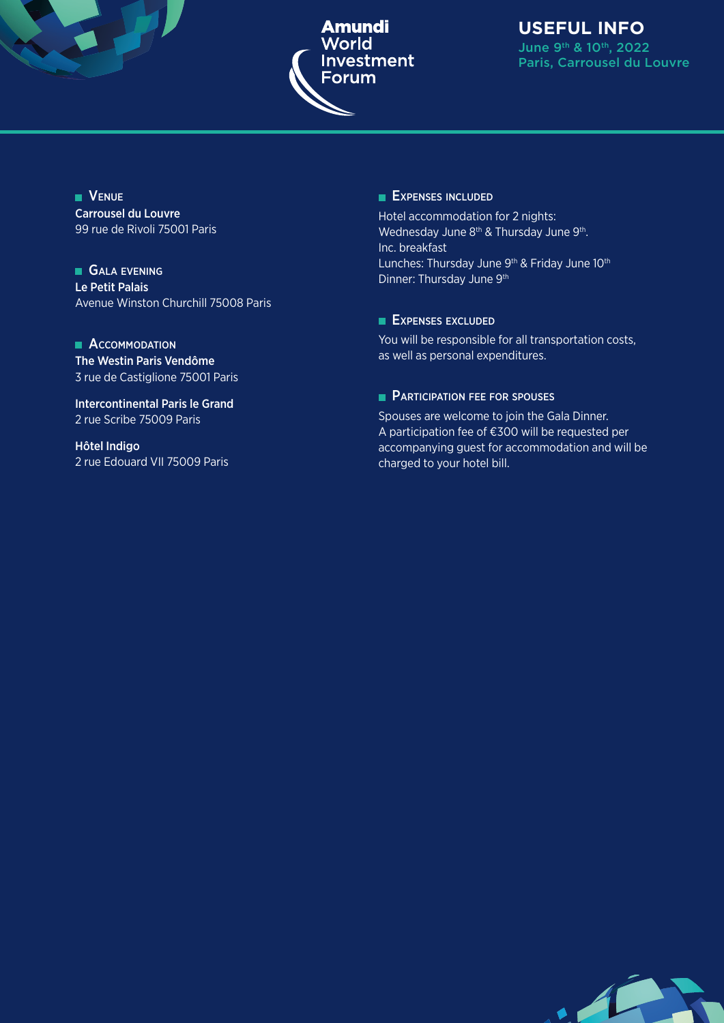

#### **USEFUL INFO** June 9th & 10th, 2022 Paris, Carrousel du Louvre

JE 1

**VENUE** Carrousel du Louvre 99 rue de Rivoli 75001 Paris

**GALA EVENING** Le Petit Palais Avenue Winston Churchill 75008 Paris

**ACCOMMODATION** The Westin Paris Vendôme 3 rue de Castiglione 75001 Paris

Intercontinental Paris le Grand 2 rue Scribe 75009 Paris

Hôtel Indigo 2 rue Edouard VII 75009 Paris

#### **EXPENSES INCLUDED**

Hotel accommodation for 2 nights: Wednesday June 8<sup>th</sup> & Thursday June 9<sup>th</sup>. Inc. breakfast Lunches: Thursday June 9<sup>th</sup> & Friday June 10<sup>th</sup> Dinner: Thursday June 9<sup>th</sup>

#### **EXPENSES EXCLUDED**

You will be responsible for all transportation costs, as well as personal expenditures.

#### **PARTICIPATION FEE FOR SPOUSES**

Spouses are welcome to join the Gala Dinner. A participation fee of €300 will be requested per accompanying guest for accommodation and will be charged to your hotel bill.